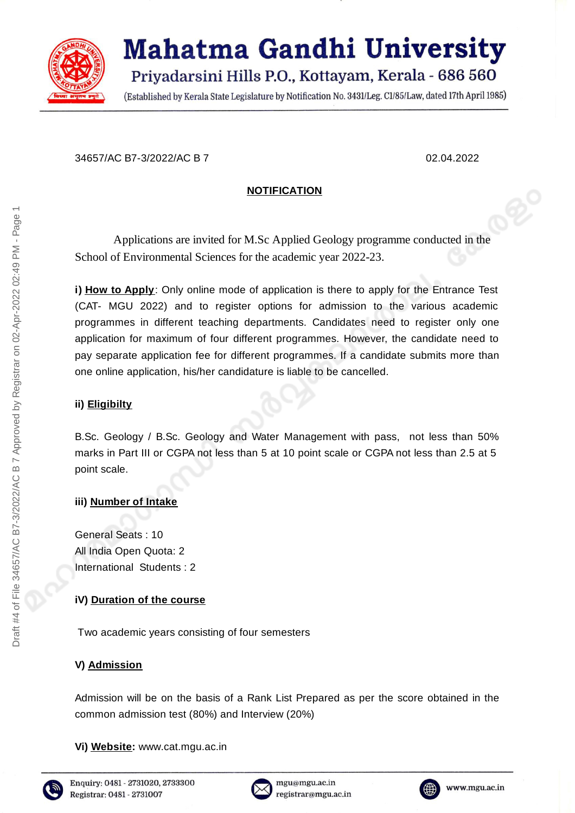

# **Mahatma Gandhi University** Priyadarsini Hills P.O., Kottayam, Kerala - 686 560

(Established by Kerala State Legislature by Notification No. 3431/Leg. C1/85/Law, dated 17th April 1985)

34657/AC B7-3/2022/AC B 7 02.04.2022

# **NOTIFICATION**

Applications are invited for M.Sc Applied Geology programme conducted in the School of Environmental Sciences for the academic year 2022-23.

**i) How to Apply**: Only online mode of application is there to apply for the Entrance Test (CAT- MGU 2022) and to register options for admission to the various academic programmes in different teaching departments. Candidates need to register only one application for maximum of four different programmes. However, the candidate need to pay separate application fee for different programmes. If a candidate submits more than one online application, his/her candidature is liable to be cancelled.

# **ii) Eligibilty**

B.Sc. Geology / B.Sc. Geology and Water Management with pass, not less than 50% marks in Part III or CGPA not less than 5 at 10 point scale or CGPA not less than 2.5 at 5 point scale.

# **iii) Number of Intake**

General Seats : 10 All India Open Quota: 2 International Students : 2

# **iV) Duration of the course**

Two academic years consisting of four semesters

# **V) Admission**

Admission will be on the basis of a Rank List Prepared as per the score obtained in the common admission test (80%) and Interview (20%)

**Vi) Website:** www.cat.mgu.ac.in





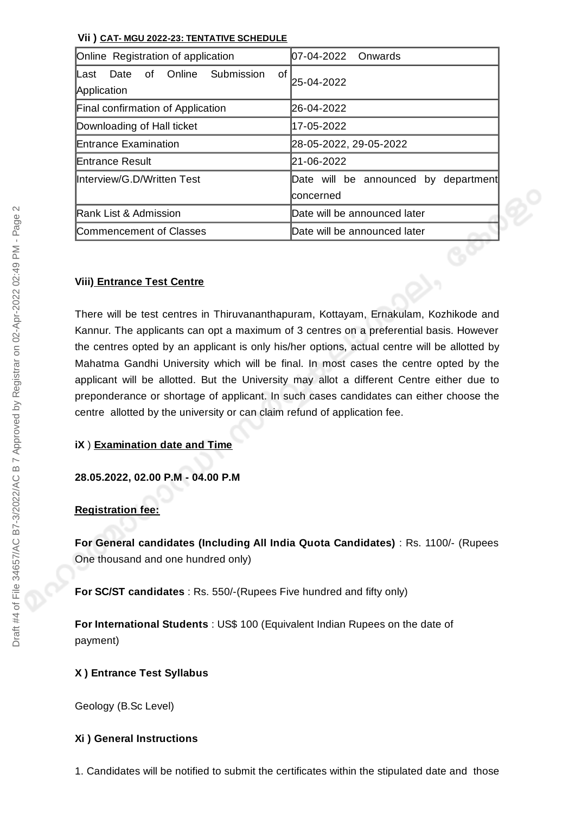#### **Vii ) CAT- MGU 2022-23: TENTATIVE SCHEDULE**

| Online Registration of application                              | 07-04-2022 Onwards                                |  |
|-----------------------------------------------------------------|---------------------------------------------------|--|
| Online<br>of<br>Submission<br>of<br>Date<br>Last<br>Application | 25-04-2022                                        |  |
| Final confirmation of Application                               | 26-04-2022                                        |  |
| Downloading of Hall ticket                                      | 17-05-2022                                        |  |
| Entrance Examination                                            | 28-05-2022, 29-05-2022                            |  |
| lEntrance Result                                                | 21-06-2022                                        |  |
| Interview/G.D/Written Test                                      | Date will be announced by department<br>concerned |  |
| <b>IRank List &amp; Admission</b>                               | Date will be announced later                      |  |
| Commencement of Classes                                         | Date will be announced later                      |  |

### **Viii) Entrance Test Centre**

There will be test centres in Thiruvananthapuram, Kottayam, Ernakulam, Kozhikode and Kannur. The applicants can opt a maximum of 3 centres on a preferential basis. However the centres opted by an applicant is only his/her options, actual centre will be allotted by Mahatma Gandhi University which will be final. In most cases the centre opted by the applicant will be allotted. But the University may allot a different Centre either due to preponderance or shortage of applicant. In such cases candidates can either choose the centre allotted by the university or can claim refund of application fee.

#### **iX** ) **Examination date and Time**

**28.05.2022, 02.00 P.M - 04.00 P.M**

# **Registration fee:**

**For General candidates (Including All India Quota Candidates)** : Rs. 1100/- (Rupees One thousand and one hundred only)

**For SC/ST candidates** : Rs. 550/-(Rupees Five hundred and fifty only)

**For International Students** : US\$ 100 (Equivalent Indian Rupees on the date of payment)

# **X ) Entrance Test Syllabus**

Geology (B.Sc Level)

#### **Xi ) General Instructions**

1. Candidates will be notified to submit the certificates within the stipulated date and those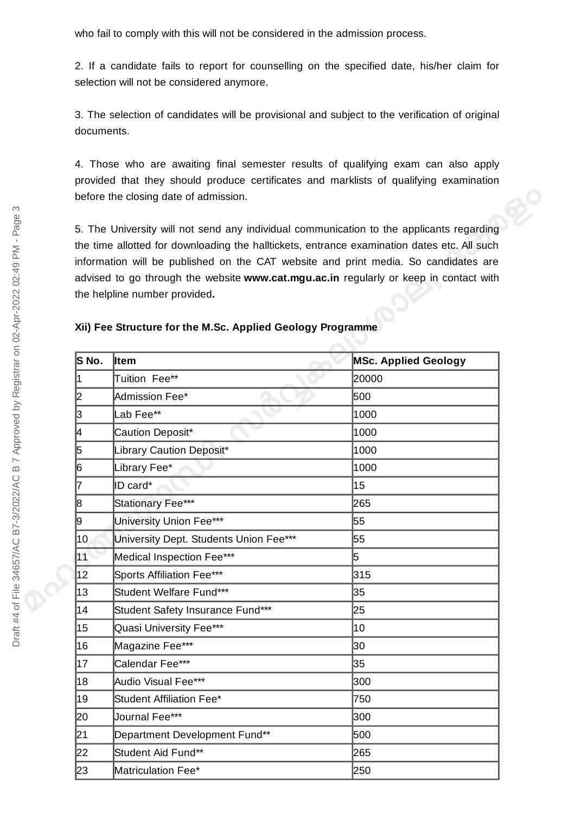who fail to comply with this will not be considered in the admission process.

2. If a candidate fails to report for counselling on the specified date, his/her claim for selection will not be considered anymore.

3. The selection of candidates will be provisional and subject to the verification of original documents.

4. Those who are awaiting final semester results of qualifying exam can also apply provided that they should produce certificates and marklists of qualifying examination before the closing date of admission.

5. The University will not send any individual communication to the applicants regarding the time allotted for downloading the halltickets, entrance examination dates etc. All such information will be published on the CAT website and print media. So candidates are advised to go through the website **www.cat.mgu.ac.in** regularly or keep in contact with the helpline number provided**.**

|  | Xii) Fee Structure for the M.Sc. Applied Geology Programme |  |  |  |
|--|------------------------------------------------------------|--|--|--|
|--|------------------------------------------------------------|--|--|--|

| S No. | ltem                                   | <b>MSc. Applied Geology</b> |
|-------|----------------------------------------|-----------------------------|
| 1     | Tuition Fee**                          | 20000                       |
| 2     | Admission Fee*                         | 500                         |
| 3     | Lab Fee**                              | 1000                        |
| 4     | Caution Deposit*                       | 1000                        |
| 5     | Library Caution Deposit*               | 1000                        |
| 6     | Library Fee*                           | 1000                        |
| 7     | ID card*                               | 15                          |
| 8     | Stationary Fee***                      | 265                         |
| 9     | University Union Fee***                | 55                          |
| 10    | University Dept. Students Union Fee*** | 55                          |
| 11    | Medical Inspection Fee***              | 5                           |
| 12    | Sports Affiliation Fee***              | 315                         |
| 13    | Student Welfare Fund***                | 35                          |
| 14    | Student Safety Insurance Fund***       | 25                          |
| 15    | Quasi University Fee***                | 10                          |
| 16    | Magazine Fee***                        | 30                          |
| 17    | Calendar Fee***                        | 35                          |
| 18    | Audio Visual Fee***                    | 300                         |
| 19    | Student Affiliation Fee*               | 750                         |
| 20    | Journal Fee***                         | 300                         |
| 21    | Department Development Fund**          | 500                         |
| 22    | Student Aid Fund**                     | 265                         |
| 23    | Matriculation Fee*                     | 250                         |